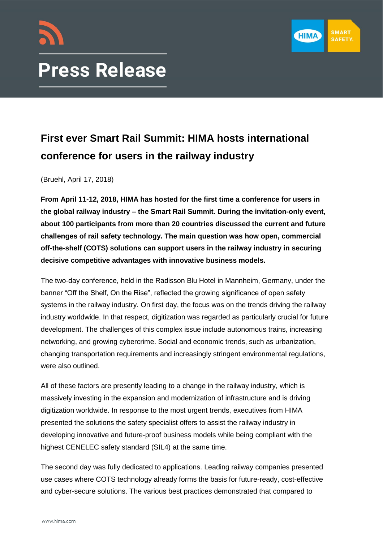

# **Press Release**

## **First ever Smart Rail Summit: HIMA hosts international conference for users in the railway industry**

(Bruehl, April 17, 2018)

**From April 11-12, 2018, HIMA has hosted for the first time a conference for users in the global railway industry – the Smart Rail Summit. During the invitation-only event, about 100 participants from more than 20 countries discussed the current and future challenges of rail safety technology. The main question was how open, commercial off-the-shelf (COTS) solutions can support users in the railway industry in securing decisive competitive advantages with innovative business models.**

The two-day conference, held in the Radisson Blu Hotel in Mannheim, Germany, under the banner "Off the Shelf, On the Rise", reflected the growing significance of open safety systems in the railway industry. On first day, the focus was on the trends driving the railway industry worldwide. In that respect, digitization was regarded as particularly crucial for future development. The challenges of this complex issue include autonomous trains, increasing networking, and growing cybercrime. Social and economic trends, such as urbanization, changing transportation requirements and increasingly stringent environmental regulations, were also outlined.

All of these factors are presently leading to a change in the railway industry, which is massively investing in the expansion and modernization of infrastructure and is driving digitization worldwide. In response to the most urgent trends, executives from HIMA presented the solutions the safety specialist offers to assist the railway industry in developing innovative and future-proof business models while being compliant with the highest CENELEC safety standard (SIL4) at the same time.

The second day was fully dedicated to applications. Leading railway companies presented use cases where COTS technology already forms the basis for future-ready, cost-effective and cyber-secure solutions. The various best practices demonstrated that compared to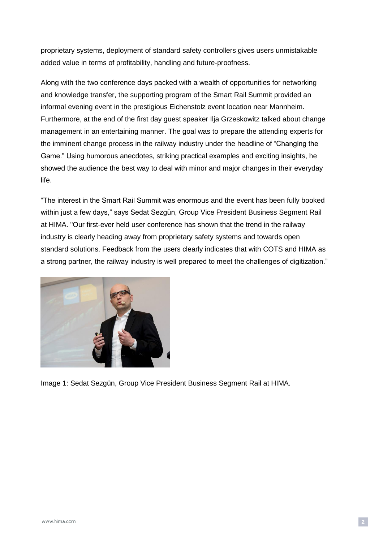proprietary systems, deployment of standard safety controllers gives users unmistakable added value in terms of profitability, handling and future-proofness.

Along with the two conference days packed with a wealth of opportunities for networking and knowledge transfer, the supporting program of the Smart Rail Summit provided an informal evening event in the prestigious Eichenstolz event location near Mannheim. Furthermore, at the end of the first day guest speaker Ilja Grzeskowitz talked about change management in an entertaining manner. The goal was to prepare the attending experts for the imminent change process in the railway industry under the headline of "Changing the Game." Using humorous anecdotes, striking practical examples and exciting insights, he showed the audience the best way to deal with minor and major changes in their everyday life.

"The interest in the Smart Rail Summit was enormous and the event has been fully booked within just a few days," says Sedat Sezgün, Group Vice President Business Segment Rail at HIMA. "Our first-ever held user conference has shown that the trend in the railway industry is clearly heading away from proprietary safety systems and towards open standard solutions. Feedback from the users clearly indicates that with COTS and HIMA as a strong partner, the railway industry is well prepared to meet the challenges of digitization."



Image 1: Sedat Sezgün, Group Vice President Business Segment Rail at HIMA.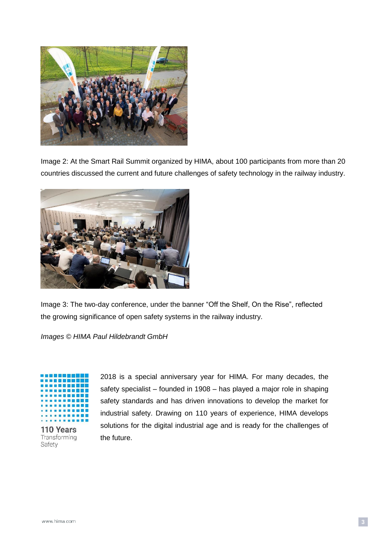

Image 2: At the Smart Rail Summit organized by HIMA, about 100 participants from more than 20 countries discussed the current and future challenges of safety technology in the railway industry.



Image 3: The two-day conference, under the banner "Off the Shelf, On the Rise", reflected the growing significance of open safety systems in the railway industry.

*Images © HIMA Paul Hildebrandt GmbH*



110 Years Transforming Safety

2018 is a special anniversary year for HIMA. For many decades, the safety specialist – founded in 1908 – has played a major role in shaping safety standards and has driven innovations to develop the market for industrial safety. Drawing on 110 years of experience, HIMA develops solutions for the digital industrial age and is ready for the challenges of the future.